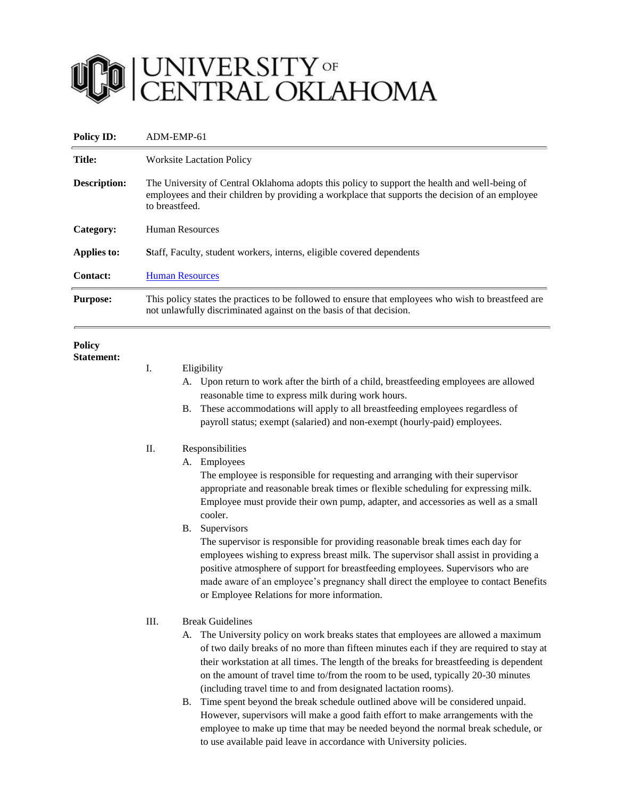

| <b>Policy ID:</b>                  | ADM-EMP-61                                                                                                                                                                                                                                                                                                                                                                                                                                                                                                                                                                                                                                                                                                                                                                                                                                                                                                                                                                                                                                                                         |  |
|------------------------------------|------------------------------------------------------------------------------------------------------------------------------------------------------------------------------------------------------------------------------------------------------------------------------------------------------------------------------------------------------------------------------------------------------------------------------------------------------------------------------------------------------------------------------------------------------------------------------------------------------------------------------------------------------------------------------------------------------------------------------------------------------------------------------------------------------------------------------------------------------------------------------------------------------------------------------------------------------------------------------------------------------------------------------------------------------------------------------------|--|
| Title:                             | <b>Worksite Lactation Policy</b>                                                                                                                                                                                                                                                                                                                                                                                                                                                                                                                                                                                                                                                                                                                                                                                                                                                                                                                                                                                                                                                   |  |
| <b>Description:</b>                | The University of Central Oklahoma adopts this policy to support the health and well-being of<br>employees and their children by providing a workplace that supports the decision of an employee<br>to breastfeed.                                                                                                                                                                                                                                                                                                                                                                                                                                                                                                                                                                                                                                                                                                                                                                                                                                                                 |  |
| Category:                          | <b>Human Resources</b>                                                                                                                                                                                                                                                                                                                                                                                                                                                                                                                                                                                                                                                                                                                                                                                                                                                                                                                                                                                                                                                             |  |
| <b>Applies to:</b>                 | Staff, Faculty, student workers, interns, eligible covered dependents                                                                                                                                                                                                                                                                                                                                                                                                                                                                                                                                                                                                                                                                                                                                                                                                                                                                                                                                                                                                              |  |
| <b>Contact:</b>                    | <b>Human Resources</b>                                                                                                                                                                                                                                                                                                                                                                                                                                                                                                                                                                                                                                                                                                                                                                                                                                                                                                                                                                                                                                                             |  |
| <b>Purpose:</b>                    | This policy states the practices to be followed to ensure that employees who wish to breastfeed are<br>not unlawfully discriminated against on the basis of that decision.                                                                                                                                                                                                                                                                                                                                                                                                                                                                                                                                                                                                                                                                                                                                                                                                                                                                                                         |  |
| <b>Policy</b><br><b>Statement:</b> | I.<br>Eligibility<br>A. Upon return to work after the birth of a child, breastfeeding employees are allowed<br>reasonable time to express milk during work hours.<br>These accommodations will apply to all breastfeeding employees regardless of<br>В.<br>payroll status; exempt (salaried) and non-exempt (hourly-paid) employees.<br>Π.<br>Responsibilities<br>Employees<br>А.<br>The employee is responsible for requesting and arranging with their supervisor<br>appropriate and reasonable break times or flexible scheduling for expressing milk.<br>Employee must provide their own pump, adapter, and accessories as well as a small<br>cooler.<br>Supervisors<br>В.<br>The supervisor is responsible for providing reasonable break times each day for<br>employees wishing to express breast milk. The supervisor shall assist in providing a<br>positive atmosphere of support for breastfeeding employees. Supervisors who are<br>made aware of an employee's pregnancy shall direct the employee to contact Benefits<br>or Employee Relations for more information. |  |
|                                    | <b>Break Guidelines</b><br>III.<br>A. The University policy on work breaks states that employees are allowed a maximum<br>of two daily breaks of no more than fifteen minutes each if they are required to stay at<br>their workstation at all times. The length of the breaks for breastfeeding is dependent<br>on the amount of travel time to/from the room to be used, typically 20-30 minutes<br>(including travel time to and from designated lactation rooms).<br>Time spent beyond the break schedule outlined above will be considered unpaid.<br>В.<br>However, supervisors will make a good faith effort to make arrangements with the<br>employee to make up time that may be needed beyond the normal break schedule, or<br>to use available paid leave in accordance with University policies.                                                                                                                                                                                                                                                                       |  |